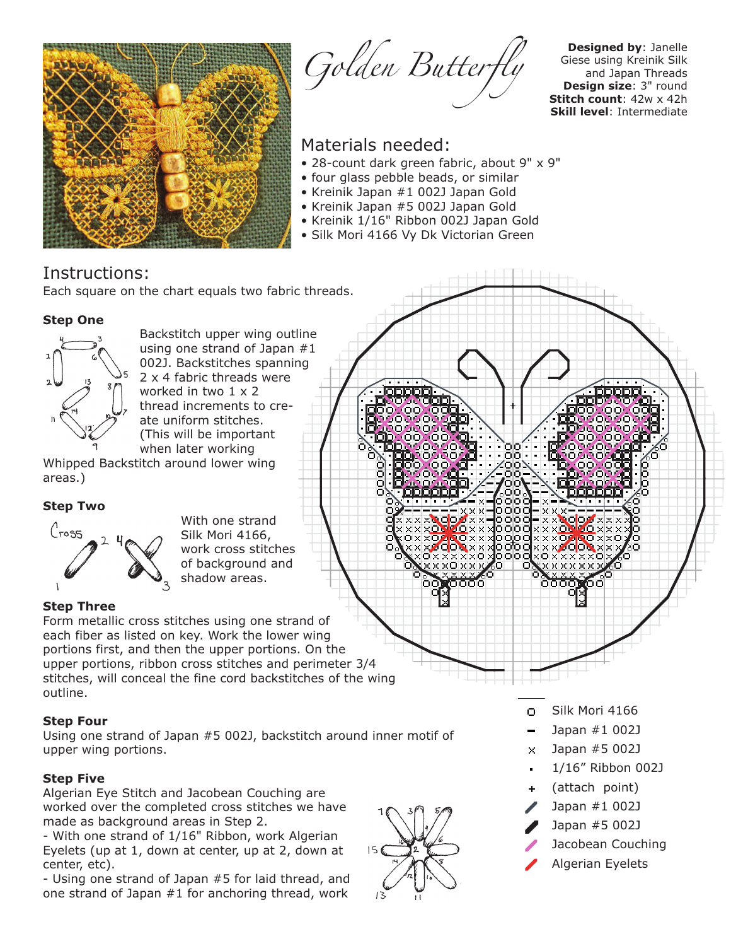

Golden Butterfly

**Designed by**: Janelle Giese using Kreinik Silk and Japan Threads **Design size**: 3" round **Stitch count**: 42w x 42h **Skill level**: Intermediate

# Materials needed:

- 28-count dark green fabric, about 9" x 9"
- four glass pebble beads, or similar
- Kreinik Japan #1 002J Japan Gold
- Kreinik Japan #5 002J Japan Gold
- Kreinik 1/16" Ribbon 002J Japan Gold
- Silk Mori 4166 Vy Dk Victorian Green

# Instructions:

Each square on the chart equals two fabric threads.

## **Step One**



Backstitch upper wing outline using one strand of Japan #1 002J. Backstitches spanning 2 x 4 fabric threads were worked in two 1 x 2 thread increments to create uniform stitches. (This will be important when later working

Whipped Backstitch around lower wing areas.)

# **Step Two**



With one strand Silk Mori 4166, work cross stitches of background and shadow areas.

# **Step Three**

Form metallic cross stitches using one strand of each fiber as listed on key. Work the lower wing portions first, and then the upper portions. On the upper portions, ribbon cross stitches and perimeter 3/4 stitches, will conceal the fine cord backstitches of the wing outline.

# **Step Four**

Using one strand of Japan #5 002J, backstitch around inner motif of upper wing portions.

# **Step Five**

Algerian Eye Stitch and Jacobean Couching are worked over the completed cross stitches we have made as background areas in Step 2.

- With one strand of 1/16" Ribbon, work Algerian Eyelets (up at 1, down at center, up at 2, down at center, etc).

- Using one strand of Japan #5 for laid thread, and one strand of Japan #1 for anchoring thread, work



- Silk Mori 4166  $\Box$
- Japan #1 002J
- $\times$  Japan #5 002J
- 1/16" Ribbon 002J
- (attach point)
- Japan #1 002J
- Japan #5 002J
- Jacobean Couching
- Algerian Eyelets